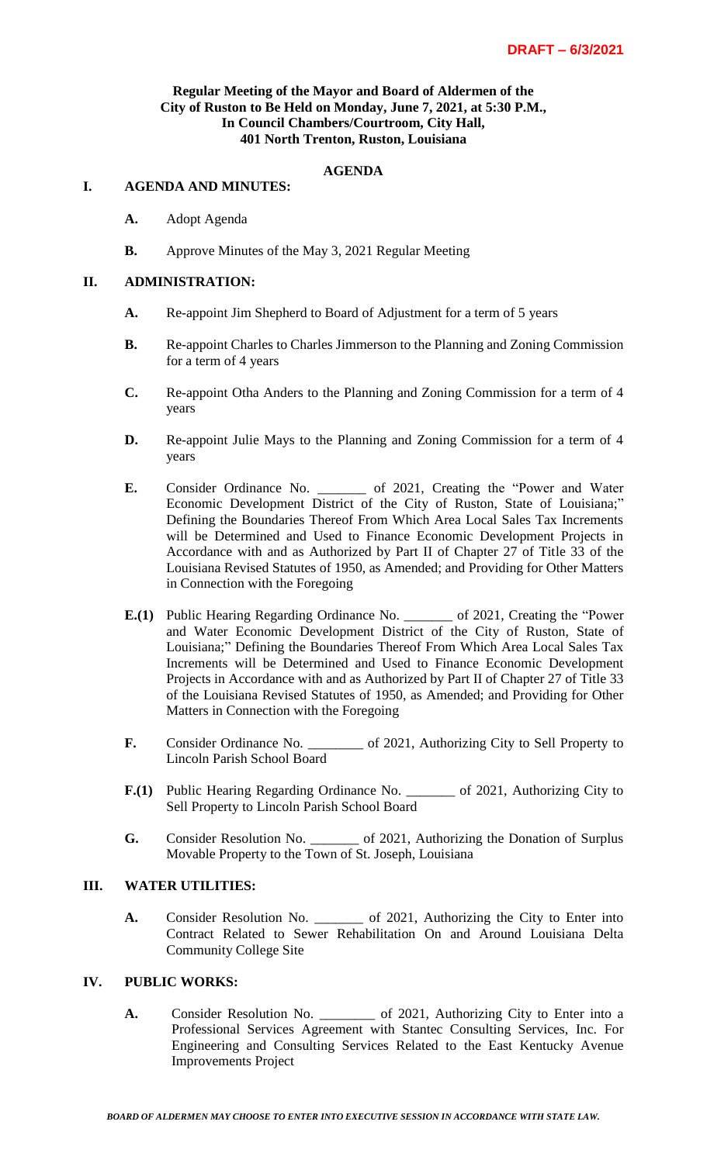### **Regular Meeting of the Mayor and Board of Aldermen of the City of Ruston to Be Held on Monday, June 7, 2021, at 5:30 P.M., In Council Chambers/Courtroom, City Hall, 401 North Trenton, Ruston, Louisiana**

## **AGENDA**

#### **I. AGENDA AND MINUTES:**

- **A.** Adopt Agenda
- **B.** Approve Minutes of the May 3, 2021 Regular Meeting

#### **II. ADMINISTRATION:**

- **A.** Re-appoint Jim Shepherd to Board of Adjustment for a term of 5 years
- **B.** Re-appoint Charles to Charles Jimmerson to the Planning and Zoning Commission for a term of 4 years
- **C.** Re-appoint Otha Anders to the Planning and Zoning Commission for a term of 4 years
- **D.** Re-appoint Julie Mays to the Planning and Zoning Commission for a term of 4 years
- **E.** Consider Ordinance No. \_\_\_\_\_\_\_ of 2021, Creating the "Power and Water Economic Development District of the City of Ruston, State of Louisiana;" Defining the Boundaries Thereof From Which Area Local Sales Tax Increments will be Determined and Used to Finance Economic Development Projects in Accordance with and as Authorized by Part II of Chapter 27 of Title 33 of the Louisiana Revised Statutes of 1950, as Amended; and Providing for Other Matters in Connection with the Foregoing
- **E.(1)** Public Hearing Regarding Ordinance No. \_\_\_\_\_\_\_ of 2021, Creating the "Power and Water Economic Development District of the City of Ruston, State of Louisiana;" Defining the Boundaries Thereof From Which Area Local Sales Tax Increments will be Determined and Used to Finance Economic Development Projects in Accordance with and as Authorized by Part II of Chapter 27 of Title 33 of the Louisiana Revised Statutes of 1950, as Amended; and Providing for Other Matters in Connection with the Foregoing
- **F.** Consider Ordinance No. \_\_\_\_\_\_\_\_ of 2021, Authorizing City to Sell Property to Lincoln Parish School Board
- **F.(1)** Public Hearing Regarding Ordinance No. \_\_\_\_\_\_\_ of 2021, Authorizing City to Sell Property to Lincoln Parish School Board
- **G.** Consider Resolution No. \_\_\_\_\_\_\_ of 2021, Authorizing the Donation of Surplus Movable Property to the Town of St. Joseph, Louisiana

### **III. WATER UTILITIES:**

**A.** Consider Resolution No. \_\_\_\_\_\_\_ of 2021, Authorizing the City to Enter into Contract Related to Sewer Rehabilitation On and Around Louisiana Delta Community College Site

## **IV. PUBLIC WORKS:**

**A.** Consider Resolution No. \_\_\_\_\_\_\_\_ of 2021, Authorizing City to Enter into a Professional Services Agreement with Stantec Consulting Services, Inc. For Engineering and Consulting Services Related to the East Kentucky Avenue Improvements Project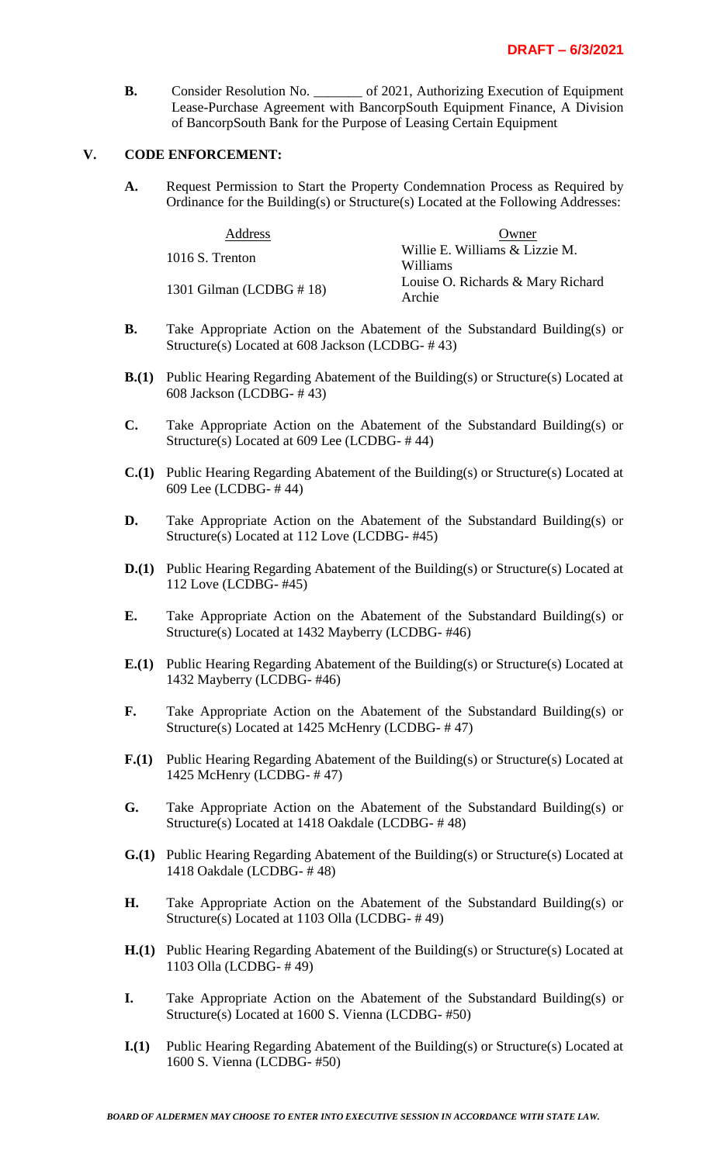**B.** Consider Resolution No. \_\_\_\_\_\_\_ of 2021, Authorizing Execution of Equipment Lease-Purchase Agreement with BancorpSouth Equipment Finance, A Division of BancorpSouth Bank for the Purpose of Leasing Certain Equipment

### **V. CODE ENFORCEMENT:**

**A.** Request Permission to Start the Property Condemnation Process as Required by Ordinance for the Building(s) or Structure(s) Located at the Following Addresses:

| Address                     | Owner                                       |
|-----------------------------|---------------------------------------------|
| 1016 S. Trenton             | Willie E. Williams & Lizzie M.<br>Williams  |
| 1301 Gilman (LCDBG $\#$ 18) | Louise O. Richards & Mary Richard<br>Archie |

- **B.** Take Appropriate Action on the Abatement of the Substandard Building(s) or Structure(s) Located at 608 Jackson (LCDBG- # 43)
- **B.(1)** Public Hearing Regarding Abatement of the Building(s) or Structure(s) Located at 608 Jackson (LCDBG- # 43)
- **C.** Take Appropriate Action on the Abatement of the Substandard Building(s) or Structure(s) Located at 609 Lee (LCDBG- # 44)
- **C.(1)** Public Hearing Regarding Abatement of the Building(s) or Structure(s) Located at 609 Lee (LCDBG- # 44)
- **D.** Take Appropriate Action on the Abatement of the Substandard Building(s) or Structure(s) Located at 112 Love (LCDBG- #45)
- **D.(1)** Public Hearing Regarding Abatement of the Building(s) or Structure(s) Located at 112 Love (LCDBG- #45)
- **E.** Take Appropriate Action on the Abatement of the Substandard Building(s) or Structure(s) Located at 1432 Mayberry (LCDBG- #46)
- **E.(1)** Public Hearing Regarding Abatement of the Building(s) or Structure(s) Located at 1432 Mayberry (LCDBG- #46)
- **F.** Take Appropriate Action on the Abatement of the Substandard Building(s) or Structure(s) Located at 1425 McHenry (LCDBG- # 47)
- **F.(1)** Public Hearing Regarding Abatement of the Building(s) or Structure(s) Located at 1425 McHenry (LCDBG- # 47)
- **G.** Take Appropriate Action on the Abatement of the Substandard Building(s) or Structure(s) Located at 1418 Oakdale (LCDBG- # 48)
- **G.(1)** Public Hearing Regarding Abatement of the Building(s) or Structure(s) Located at 1418 Oakdale (LCDBG- # 48)
- **H.** Take Appropriate Action on the Abatement of the Substandard Building(s) or Structure(s) Located at 1103 Olla (LCDBG- # 49)
- **H.(1)** Public Hearing Regarding Abatement of the Building(s) or Structure(s) Located at 1103 Olla (LCDBG- # 49)
- **I.** Take Appropriate Action on the Abatement of the Substandard Building(s) or Structure(s) Located at 1600 S. Vienna (LCDBG- #50)
- **I.(1)** Public Hearing Regarding Abatement of the Building(s) or Structure(s) Located at 1600 S. Vienna (LCDBG- #50)